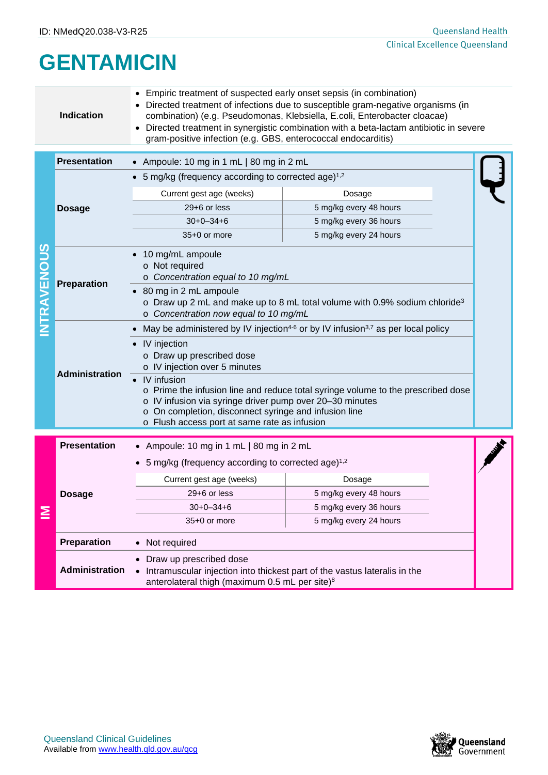## **GENTAMICIN**

|                    | Empiric treatment of suspected early onset sepsis (in combination)<br>Directed treatment of infections due to susceptible gram-negative organisms (in<br><b>Indication</b><br>combination) (e.g. Pseudomonas, Klebsiella, E.coli, Enterobacter cloacae)<br>Directed treatment in synergistic combination with a beta-lactam antibiotic in severe<br>gram-positive infection (e.g. GBS, enterococcal endocarditis) |                                                                                                                                                                                                                                                                                                                                                      |                        |  |  |  |
|--------------------|-------------------------------------------------------------------------------------------------------------------------------------------------------------------------------------------------------------------------------------------------------------------------------------------------------------------------------------------------------------------------------------------------------------------|------------------------------------------------------------------------------------------------------------------------------------------------------------------------------------------------------------------------------------------------------------------------------------------------------------------------------------------------------|------------------------|--|--|--|
|                    | <b>Presentation</b>                                                                                                                                                                                                                                                                                                                                                                                               | • Ampoule: 10 mg in 1 mL   80 mg in 2 mL                                                                                                                                                                                                                                                                                                             |                        |  |  |  |
|                    | <b>Dosage</b>                                                                                                                                                                                                                                                                                                                                                                                                     | • 5 mg/kg (frequency according to corrected age) $1,2$                                                                                                                                                                                                                                                                                               |                        |  |  |  |
|                    |                                                                                                                                                                                                                                                                                                                                                                                                                   | Current gest age (weeks)<br>Dosage                                                                                                                                                                                                                                                                                                                   |                        |  |  |  |
|                    |                                                                                                                                                                                                                                                                                                                                                                                                                   | $29+6$ or less                                                                                                                                                                                                                                                                                                                                       | 5 mg/kg every 48 hours |  |  |  |
|                    |                                                                                                                                                                                                                                                                                                                                                                                                                   | $30+0-34+6$<br>5 mg/kg every 36 hours                                                                                                                                                                                                                                                                                                                |                        |  |  |  |
| <b>INTRAVENOUS</b> |                                                                                                                                                                                                                                                                                                                                                                                                                   | 35+0 or more                                                                                                                                                                                                                                                                                                                                         | 5 mg/kg every 24 hours |  |  |  |
|                    | Preparation                                                                                                                                                                                                                                                                                                                                                                                                       | • 10 mg/mL ampoule<br>o Not required<br>o Concentration equal to 10 mg/mL                                                                                                                                                                                                                                                                            |                        |  |  |  |
|                    |                                                                                                                                                                                                                                                                                                                                                                                                                   | • 80 mg in 2 mL ampoule<br>$\circ$ Draw up 2 mL and make up to 8 mL total volume with 0.9% sodium chloride <sup>3</sup><br>o Concentration now equal to 10 mg/mL                                                                                                                                                                                     |                        |  |  |  |
|                    |                                                                                                                                                                                                                                                                                                                                                                                                                   | May be administered by IV injection <sup>4-6</sup> or by IV infusion <sup>3,7</sup> as per local policy                                                                                                                                                                                                                                              |                        |  |  |  |
|                    | <b>Administration</b>                                                                                                                                                                                                                                                                                                                                                                                             | • IV injection<br>o Draw up prescribed dose<br>o IV injection over 5 minutes<br>IV infusion<br>o Prime the infusion line and reduce total syringe volume to the prescribed dose<br>o IV infusion via syringe driver pump over 20-30 minutes<br>o On completion, disconnect syringe and infusion line<br>o Flush access port at same rate as infusion |                        |  |  |  |
|                    |                                                                                                                                                                                                                                                                                                                                                                                                                   |                                                                                                                                                                                                                                                                                                                                                      |                        |  |  |  |
|                    | <b>Presentation</b>                                                                                                                                                                                                                                                                                                                                                                                               | • Ampoule: 10 mg in 1 mL   80 mg in 2 mL                                                                                                                                                                                                                                                                                                             |                        |  |  |  |
|                    |                                                                                                                                                                                                                                                                                                                                                                                                                   | 5 mg/kg (frequency according to corrected age) <sup>1,2</sup>                                                                                                                                                                                                                                                                                        |                        |  |  |  |
|                    | <b>Dosage</b>                                                                                                                                                                                                                                                                                                                                                                                                     | Current gest age (weeks)                                                                                                                                                                                                                                                                                                                             | Dosage                 |  |  |  |
|                    |                                                                                                                                                                                                                                                                                                                                                                                                                   | $29+6$ or less                                                                                                                                                                                                                                                                                                                                       | 5 mg/kg every 48 hours |  |  |  |
| Ξ                  |                                                                                                                                                                                                                                                                                                                                                                                                                   | $30+0-34+6$                                                                                                                                                                                                                                                                                                                                          | 5 mg/kg every 36 hours |  |  |  |
|                    |                                                                                                                                                                                                                                                                                                                                                                                                                   | 5 mg/kg every 24 hours<br>35+0 or more                                                                                                                                                                                                                                                                                                               |                        |  |  |  |
|                    | Preparation                                                                                                                                                                                                                                                                                                                                                                                                       | Not required                                                                                                                                                                                                                                                                                                                                         |                        |  |  |  |
|                    | <b>Administration</b>                                                                                                                                                                                                                                                                                                                                                                                             | Draw up prescribed dose<br>Intramuscular injection into thickest part of the vastus lateralis in the<br>anterolateral thigh (maximum 0.5 mL per site) <sup>8</sup>                                                                                                                                                                                   |                        |  |  |  |

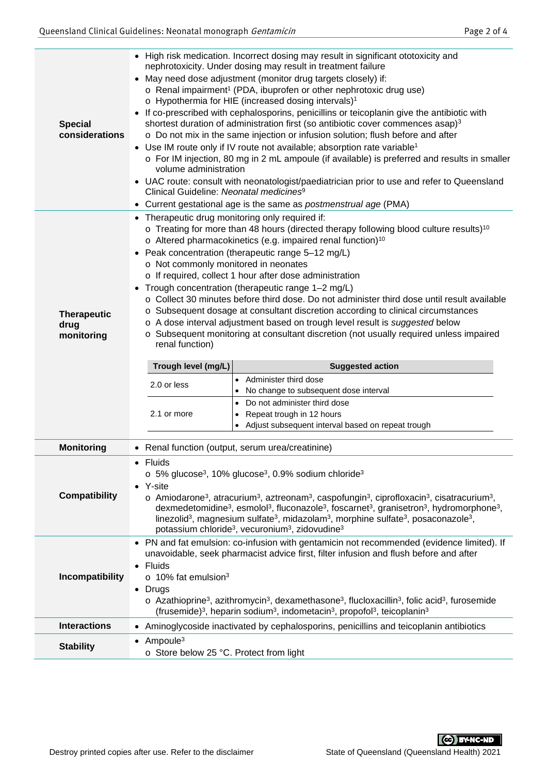| <b>Special</b><br>considerations         | • High risk medication. Incorrect dosing may result in significant ototoxicity and<br>nephrotoxicity. Under dosing may result in treatment failure<br>• May need dose adjustment (monitor drug targets closely) if:<br>o Renal impairment <sup>1</sup> (PDA, ibuprofen or other nephrotoxic drug use)<br>o Hypothermia for HIE (increased dosing intervals) <sup>1</sup><br>• If co-prescribed with cephalosporins, penicillins or teicoplanin give the antibiotic with<br>shortest duration of administration first (so antibiotic cover commences asap) <sup>3</sup><br>o Do not mix in the same injection or infusion solution; flush before and after<br>• Use IM route only if IV route not available; absorption rate variable <sup>1</sup><br>o For IM injection, 80 mg in 2 mL ampoule (if available) is preferred and results in smaller<br>volume administration<br>• UAC route: consult with neonatologist/paediatrician prior to use and refer to Queensland<br>Clinical Guideline: Neonatal medicines <sup>9</sup><br>• Current gestational age is the same as <i>postmenstrual age</i> (PMA) |                                                                                                                                                                                                                                                                                                                                                                                                                                                                                                                                                                                                                                                                                                                                                                                  |  |  |
|------------------------------------------|------------------------------------------------------------------------------------------------------------------------------------------------------------------------------------------------------------------------------------------------------------------------------------------------------------------------------------------------------------------------------------------------------------------------------------------------------------------------------------------------------------------------------------------------------------------------------------------------------------------------------------------------------------------------------------------------------------------------------------------------------------------------------------------------------------------------------------------------------------------------------------------------------------------------------------------------------------------------------------------------------------------------------------------------------------------------------------------------------------|----------------------------------------------------------------------------------------------------------------------------------------------------------------------------------------------------------------------------------------------------------------------------------------------------------------------------------------------------------------------------------------------------------------------------------------------------------------------------------------------------------------------------------------------------------------------------------------------------------------------------------------------------------------------------------------------------------------------------------------------------------------------------------|--|--|
| <b>Therapeutic</b><br>drug<br>monitoring | • Therapeutic drug monitoring only required if:<br>$\circ$ Treating for more than 48 hours (directed therapy following blood culture results) <sup>10</sup><br>o Altered pharmacokinetics (e.g. impaired renal function) <sup>10</sup><br>• Peak concentration (therapeutic range 5-12 mg/L)<br>o Not commonly monitored in neonates<br>o If required, collect 1 hour after dose administration<br>Trough concentration (therapeutic range 1-2 mg/L)<br>$\bullet$<br>○ Collect 30 minutes before third dose. Do not administer third dose until result available<br>○ Subsequent dosage at consultant discretion according to clinical circumstances<br>o A dose interval adjustment based on trough level result is suggested below<br>Subsequent monitoring at consultant discretion (not usually required unless impaired<br>renal function)<br>Trough level (mg/L)<br><b>Suggested action</b><br>Administer third dose<br>$\bullet$<br>2.0 or less<br>No change to subsequent dose interval<br>Do not administer third dose<br>$\bullet$<br>2.1 or more<br>Repeat trough in 12 hours<br>$\bullet$      |                                                                                                                                                                                                                                                                                                                                                                                                                                                                                                                                                                                                                                                                                                                                                                                  |  |  |
|                                          |                                                                                                                                                                                                                                                                                                                                                                                                                                                                                                                                                                                                                                                                                                                                                                                                                                                                                                                                                                                                                                                                                                            | Adjust subsequent interval based on repeat trough                                                                                                                                                                                                                                                                                                                                                                                                                                                                                                                                                                                                                                                                                                                                |  |  |
| <b>Monitoring</b>                        |                                                                                                                                                                                                                                                                                                                                                                                                                                                                                                                                                                                                                                                                                                                                                                                                                                                                                                                                                                                                                                                                                                            | • Renal function (output, serum urea/creatinine)                                                                                                                                                                                                                                                                                                                                                                                                                                                                                                                                                                                                                                                                                                                                 |  |  |
| <b>Compatibility</b>                     | $\bullet$ Fluids<br>• Y-site                                                                                                                                                                                                                                                                                                                                                                                                                                                                                                                                                                                                                                                                                                                                                                                                                                                                                                                                                                                                                                                                               | $\circ$ 5% glucose <sup>3</sup> , 10% glucose <sup>3</sup> , 0.9% sodium chloride <sup>3</sup><br>o Amiodarone <sup>3</sup> , atracurium <sup>3</sup> , aztreonam <sup>3</sup> , caspofungin <sup>3</sup> , ciprofloxacin <sup>3</sup> , cisatracurium <sup>3</sup> ,<br>dexmedetomidine <sup>3</sup> , esmolol <sup>3</sup> , fluconazole <sup>3</sup> , foscarnet <sup>3</sup> , granisetron <sup>3</sup> , hydromorphone <sup>3</sup> ,<br>linezolid <sup>3</sup> , magnesium sulfate <sup>3</sup> , midazolam <sup>3</sup> , morphine sulfate <sup>3</sup> , posaconazole <sup>3</sup> ,<br>potassium chloride <sup>3</sup> , vecuronium <sup>3</sup> , zidovudine <sup>3</sup><br>• PN and fat emulsion: co-infusion with gentamicin not recommended (evidence limited). If |  |  |
| Incompatibility                          | • Fluids<br>$\circ$ 10% fat emulsion <sup>3</sup><br>$\bullet$ Drugs                                                                                                                                                                                                                                                                                                                                                                                                                                                                                                                                                                                                                                                                                                                                                                                                                                                                                                                                                                                                                                       | unavoidable, seek pharmacist advice first, filter infusion and flush before and after<br>$\circ$ Azathioprine <sup>3</sup> , azithromycin <sup>3</sup> , dexamethasone <sup>3</sup> , flucloxacillin <sup>3</sup> , folic acid <sup>3</sup> , furosemide<br>(frusemide) <sup>3</sup> , heparin sodium <sup>3</sup> , indometacin <sup>3</sup> , propofol <sup>3</sup> , teicoplanin <sup>3</sup>                                                                                                                                                                                                                                                                                                                                                                                 |  |  |
| <b>Interactions</b>                      |                                                                                                                                                                                                                                                                                                                                                                                                                                                                                                                                                                                                                                                                                                                                                                                                                                                                                                                                                                                                                                                                                                            | • Aminoglycoside inactivated by cephalosporins, penicillins and teicoplanin antibiotics                                                                                                                                                                                                                                                                                                                                                                                                                                                                                                                                                                                                                                                                                          |  |  |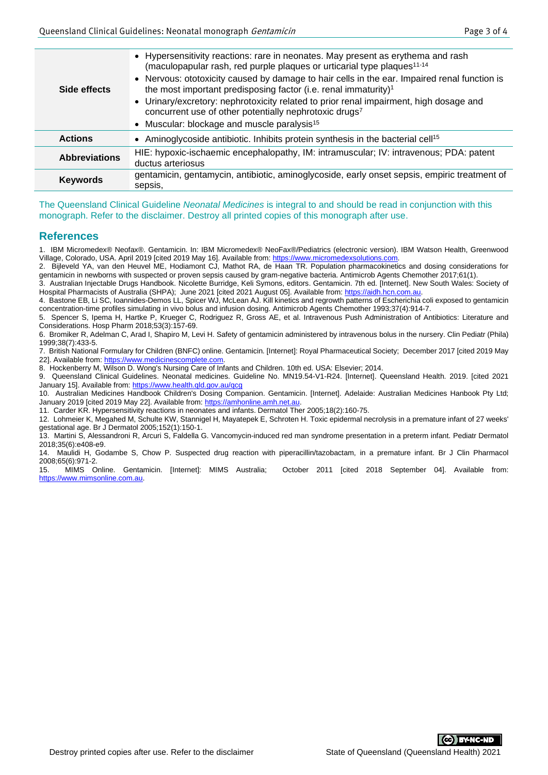| Side effects         | • Hypersensitivity reactions: rare in neonates. May present as erythema and rash<br>(maculopapular rash, red purple plaques or urticarial type plaques <sup>11-14</sup><br>• Nervous: ototoxicity caused by damage to hair cells in the ear. Impaired renal function is<br>the most important predisposing factor (i.e. renal immaturity) <sup>1</sup><br>• Urinary/excretory: nephrotoxicity related to prior renal impairment, high dosage and<br>concurrent use of other potentially nephrotoxic drugs7<br>• Muscular: blockage and muscle paralysis <sup>15</sup> |  |
|----------------------|-----------------------------------------------------------------------------------------------------------------------------------------------------------------------------------------------------------------------------------------------------------------------------------------------------------------------------------------------------------------------------------------------------------------------------------------------------------------------------------------------------------------------------------------------------------------------|--|
| <b>Actions</b>       | • Aminoglycoside antibiotic. Inhibits protein synthesis in the bacterial cell <sup>15</sup>                                                                                                                                                                                                                                                                                                                                                                                                                                                                           |  |
| <b>Abbreviations</b> | HIE: hypoxic-ischaemic encephalopathy, IM: intramuscular; IV: intravenous; PDA: patent<br>ductus arteriosus                                                                                                                                                                                                                                                                                                                                                                                                                                                           |  |
| <b>Keywords</b>      | gentamicin, gentamycin, antibiotic, aminoglycoside, early onset sepsis, empiric treatment of<br>sepsis,                                                                                                                                                                                                                                                                                                                                                                                                                                                               |  |

The Queensland Clinical Guideline *Neonatal Medicines* is integral to and should be read in conjunction with this monograph. Refer to the disclaimer. Destroy all printed copies of this monograph after use.

## **References**

1. IBM Micromedex® Neofax®. Gentamicin. In: IBM Micromedex® NeoFax®/Pediatrics (electronic version). IBM Watson Health, Greenwood Village, Colorado, USA. April 2019 [cited 2019 May 16]. Available from[: https://www.micromedexsolutions.com.](https://www.micromedexsolutions.com/)

2. Bijleveld YA, van den Heuvel ME, Hodiamont CJ, Mathot RA, de Haan TR. Population pharmacokinetics and dosing considerations for gentamicin in newborns with suspected or proven sepsis caused by gram-negative bacteria. Antimicrob Agents Chemother 2017;61(1).

3. Australian Injectable Drugs Handbook. Nicolette Burridge, Keli Symons, editors. Gentamicin. 7th ed. [Internet]. New South Wales: Society of Hospital Pharmacists of Australia (SHPA); June 2021 [cited 2021 August 05]. Available from[: https://aidh.hcn.com.au.](https://aidh.hcn.com.au/)

4. Bastone EB, Li SC, Ioannides-Demos LL, Spicer WJ, McLean AJ. Kill kinetics and regrowth patterns of Escherichia coli exposed to gentamicin concentration-time profiles simulating in vivo bolus and infusion dosing. Antimicrob Agents Chemother 1993;37(4):914-7. 5. Spencer S, Ipema H, Hartke P, Krueger C, Rodriguez R, Gross AE, et al. Intravenous Push Administration of Antibiotics: Literature and

Considerations. Hosp Pharm 2018;53(3):157-69.

6. Bromiker R, Adelman C, Arad I, Shapiro M, Levi H. Safety of gentamicin administered by intravenous bolus in the nursery. Clin Pediatr (Phila) 1999;38(7):433-5.

7. British National Formulary for Children (BNFC) online. Gentamicin. [Internet]: Royal Pharmaceutical Society; December 2017 [cited 2019 May 221. Available from: https://www.medicinescomplete.com

8. Hockenberry M, Wilson D. Wong's Nursing Care of Infants and Children. 10th ed. USA: Elsevier; 2014.

9. Queensland Clinical Guidelines. Neonatal medicines. Guideline No. MN19.54-V1-R24. [Internet]. Queensland Health. 2019. [cited 2021 January 15]. Available from:<https://www.health.qld.gov.au/qcg>

10. Australian Medicines Handbook Children's Dosing Companion. Gentamicin. [Internet]. Adelaide: Australian Medicines Hanbook Pty Ltd; January 2019 [cited 2019 May 22]. Available from: https://amhonline.amh.net.au

11. Carder KR. Hypersensitivity reactions in neonates and infants. Dermatol Ther 2005;18(2):160-75.

12. Lohmeier K, Megahed M, Schulte KW, Stannigel H, Mayatepek E, Schroten H. Toxic epidermal necrolysis in a premature infant of 27 weeks' gestational age. Br J Dermatol 2005;152(1):150-1.

13. Martini S, Alessandroni R, Arcuri S, Faldella G. Vancomycin-induced red man syndrome presentation in a preterm infant. Pediatr Dermatol 2018;35(6):e408-e9.

14. Maulidi H, Godambe S, Chow P. Suspected drug reaction with piperacillin/tazobactam, in a premature infant. Br J Clin Pharmacol 2008;65(6):971-2.<br>15. MIMS Online. Gentamicin. [Internet]: MIMS Australia:

October 2011 [cited 2018 September 04]. Available from: [https://www.mimsonline.com.au.](https://www.mimsonline.com.au/)